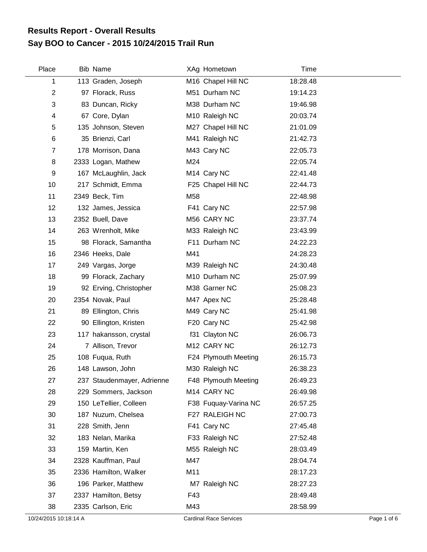## **Say BOO to Cancer - 2015 10/24/2015 Trail Run Results Report - Overall Results**

| Place                   | <b>Bib Name</b>            |     | XAg Hometown            |          | <b>Time</b> |
|-------------------------|----------------------------|-----|-------------------------|----------|-------------|
| 1                       | 113 Graden, Joseph         |     | M16 Chapel Hill NC      | 18:28.48 |             |
| $\boldsymbol{2}$        | 97 Florack, Russ           |     | M51 Durham NC           | 19:14.23 |             |
| $\sqrt{3}$              | 83 Duncan, Ricky           |     | M38 Durham NC           | 19:46.98 |             |
| $\overline{\mathbf{4}}$ | 67 Core, Dylan             |     | M10 Raleigh NC          | 20:03.74 |             |
| 5                       | 135 Johnson, Steven        |     | M27 Chapel Hill NC      | 21:01.09 |             |
| $\,6$                   | 35 Brienzi, Carl           |     | M41 Raleigh NC          | 21:42.73 |             |
| $\overline{7}$          | 178 Morrison, Dana         |     | M43 Cary NC             | 22:05.73 |             |
| 8                       | 2333 Logan, Mathew         | M24 |                         | 22:05.74 |             |
| 9                       | 167 McLaughlin, Jack       |     | M <sub>14</sub> Cary NC | 22:41.48 |             |
| 10                      | 217 Schmidt, Emma          |     | F25 Chapel Hill NC      | 22:44.73 |             |
| 11                      | 2349 Beck, Tim             | M58 |                         | 22:48.98 |             |
| 12                      | 132 James, Jessica         |     | F41 Cary NC             | 22:57.98 |             |
| 13                      | 2352 Buell, Dave           |     | M56 CARY NC             | 23:37.74 |             |
| 14                      | 263 Wrenholt, Mike         |     | M33 Raleigh NC          | 23:43.99 |             |
| 15                      | 98 Florack, Samantha       |     | F11 Durham NC           | 24:22.23 |             |
| 16                      | 2346 Heeks, Dale           | M41 |                         | 24:28.23 |             |
| 17                      | 249 Vargas, Jorge          |     | M39 Raleigh NC          | 24:30.48 |             |
| 18                      | 99 Florack, Zachary        |     | M10 Durham NC           | 25:07.99 |             |
| 19                      | 92 Erving, Christopher     |     | M38 Garner NC           | 25:08.23 |             |
| 20                      | 2354 Novak, Paul           |     | M47 Apex NC             | 25:28.48 |             |
| 21                      | 89 Ellington, Chris        |     | M49 Cary NC             | 25:41.98 |             |
| 22                      | 90 Ellington, Kristen      |     | F20 Cary NC             | 25:42.98 |             |
| 23                      | 117 hakansson, crystal     |     | f31 Clayton NC          | 26:06.73 |             |
| 24                      | 7 Allison, Trevor          |     | M12 CARY NC             | 26:12.73 |             |
| 25                      | 108 Fuqua, Ruth            |     | F24 Plymouth Meeting    | 26:15.73 |             |
| 26                      | 148 Lawson, John           |     | M30 Raleigh NC          | 26:38.23 |             |
| 27                      | 237 Staudenmayer, Adrienne |     | F48 Plymouth Meeting    | 26:49.23 |             |
| 28                      | 229 Sommers, Jackson       |     | M14 CARY NC             | 26:49.98 |             |
| 29                      | 150 LeTellier, Colleen     |     | F38 Fuquay-Varina NC    | 26:57.25 |             |
| 30                      | 187 Nuzum, Chelsea         |     | F27 RALEIGH NC          | 27:00.73 |             |
| 31                      | 228 Smith, Jenn            |     | F41 Cary NC             | 27:45.48 |             |
| 32                      | 183 Nelan, Marika          |     | F33 Raleigh NC          | 27:52.48 |             |
| 33                      | 159 Martin, Ken            |     | M55 Raleigh NC          | 28:03.49 |             |
| 34                      | 2328 Kauffman, Paul        | M47 |                         | 28:04.74 |             |
| 35                      | 2336 Hamilton, Walker      | M11 |                         | 28:17.23 |             |
| 36                      | 196 Parker, Matthew        |     | M7 Raleigh NC           | 28:27.23 |             |
| 37                      | 2337 Hamilton, Betsy       | F43 |                         | 28:49.48 |             |
| 38                      | 2335 Carlson, Eric         | M43 |                         | 28:58.99 |             |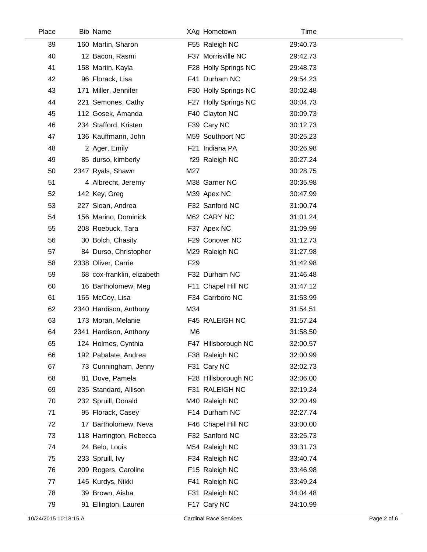| Place | <b>Bib Name</b>            |                 | XAg Hometown         | Time     |  |
|-------|----------------------------|-----------------|----------------------|----------|--|
| 39    | 160 Martin, Sharon         |                 | F55 Raleigh NC       | 29:40.73 |  |
| 40    | 12 Bacon, Rasmi            |                 | F37 Morrisville NC   | 29:42.73 |  |
| 41    | 158 Martin, Kayla          |                 | F28 Holly Springs NC | 29:48.73 |  |
| 42    | 96 Florack, Lisa           |                 | F41 Durham NC        | 29:54.23 |  |
| 43    | 171 Miller, Jennifer       |                 | F30 Holly Springs NC | 30:02.48 |  |
| 44    | 221 Semones, Cathy         |                 | F27 Holly Springs NC | 30:04.73 |  |
| 45    | 112 Gosek, Amanda          |                 | F40 Clayton NC       | 30:09.73 |  |
| 46    | 234 Stafford, Kristen      |                 | F39 Cary NC          | 30:12.73 |  |
| 47    | 136 Kauffmann, John        |                 | M59 Southport NC     | 30:25.23 |  |
| 48    | 2 Ager, Emily              |                 | F21 Indiana PA       | 30:26.98 |  |
| 49    | 85 durso, kimberly         |                 | f29 Raleigh NC       | 30:27.24 |  |
| 50    | 2347 Ryals, Shawn          | M27             |                      | 30:28.75 |  |
| 51    | 4 Albrecht, Jeremy         |                 | M38 Garner NC        | 30:35.98 |  |
| 52    | 142 Key, Greg              |                 | M39 Apex NC          | 30:47.99 |  |
| 53    | 227 Sloan, Andrea          |                 | F32 Sanford NC       | 31:00.74 |  |
| 54    | 156 Marino, Dominick       |                 | M62 CARY NC          | 31:01.24 |  |
| 55    | 208 Roebuck, Tara          |                 | F37 Apex NC          | 31:09.99 |  |
| 56    | 30 Bolch, Chasity          |                 | F29 Conover NC       | 31:12.73 |  |
| 57    | 84 Durso, Christopher      |                 | M29 Raleigh NC       | 31:27.98 |  |
| 58    | 2338 Oliver, Carrie        | F <sub>29</sub> |                      | 31:42.98 |  |
| 59    | 68 cox-franklin, elizabeth |                 | F32 Durham NC        | 31:46.48 |  |
| 60    | 16 Bartholomew, Meg        |                 | F11 Chapel Hill NC   | 31:47.12 |  |
| 61    | 165 McCoy, Lisa            |                 | F34 Carrboro NC      | 31:53.99 |  |
| 62    | 2340 Hardison, Anthony     | M34             |                      | 31:54.51 |  |
| 63    | 173 Moran, Melanie         |                 | F45 RALEIGH NC       | 31:57.24 |  |
| 64    | 2341 Hardison, Anthony     | M <sub>6</sub>  |                      | 31:58.50 |  |
| 65    | 124 Holmes, Cynthia        |                 | F47 Hillsborough NC  | 32:00.57 |  |
| 66    | 192 Pabalate, Andrea       |                 | F38 Raleigh NC       | 32:00.99 |  |
| 67    | 73 Cunningham, Jenny       |                 | F31 Cary NC          | 32:02.73 |  |
| 68    | 81 Dove, Pamela            |                 | F28 Hillsborough NC  | 32:06.00 |  |
| 69    | 235 Standard, Allison      |                 | F31 RALEIGH NC       | 32:19.24 |  |
| 70    | 232 Spruill, Donald        |                 | M40 Raleigh NC       | 32:20.49 |  |
| 71    | 95 Florack, Casey          |                 | F14 Durham NC        | 32:27.74 |  |
| 72    | 17 Bartholomew, Neva       |                 | F46 Chapel Hill NC   | 33:00.00 |  |
| 73    | 118 Harrington, Rebecca    |                 | F32 Sanford NC       | 33:25.73 |  |
| 74    | 24 Belo, Louis             |                 | M54 Raleigh NC       | 33:31.73 |  |
| 75    | 233 Spruill, Ivy           |                 | F34 Raleigh NC       | 33:40.74 |  |
| 76    | 209 Rogers, Caroline       |                 | F15 Raleigh NC       | 33:46.98 |  |
| 77    | 145 Kurdys, Nikki          |                 | F41 Raleigh NC       | 33:49.24 |  |
| 78    | 39 Brown, Aisha            |                 | F31 Raleigh NC       | 34:04.48 |  |
| 79    | 91 Ellington, Lauren       |                 | F17 Cary NC          | 34:10.99 |  |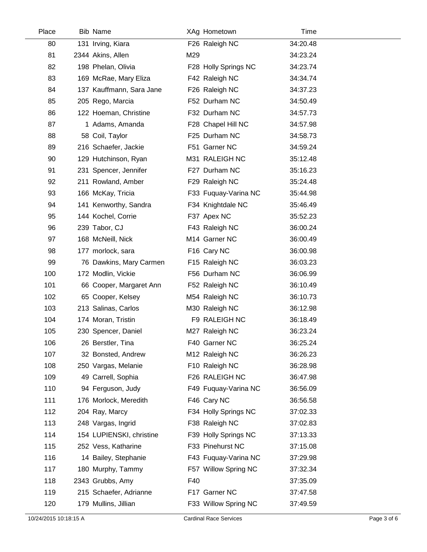| Place | <b>Bib Name</b>          |     | XAg Hometown         | Time     |  |
|-------|--------------------------|-----|----------------------|----------|--|
| 80    | 131 Irving, Kiara        |     | F26 Raleigh NC       | 34:20.48 |  |
| 81    | 2344 Akins, Allen        | M29 |                      | 34:23.24 |  |
| 82    | 198 Phelan, Olivia       |     | F28 Holly Springs NC | 34:23.74 |  |
| 83    | 169 McRae, Mary Eliza    |     | F42 Raleigh NC       | 34:34.74 |  |
| 84    | 137 Kauffmann, Sara Jane |     | F26 Raleigh NC       | 34:37.23 |  |
| 85    | 205 Rego, Marcia         |     | F52 Durham NC        | 34:50.49 |  |
| 86    | 122 Hoeman, Christine    |     | F32 Durham NC        | 34:57.73 |  |
| 87    | 1 Adams, Amanda          |     | F28 Chapel Hill NC   | 34:57.98 |  |
| 88    | 58 Coil, Taylor          |     | F25 Durham NC        | 34:58.73 |  |
| 89    | 216 Schaefer, Jackie     |     | F51 Garner NC        | 34:59.24 |  |
| 90    | 129 Hutchinson, Ryan     |     | M31 RALEIGH NC       | 35:12.48 |  |
| 91    | 231 Spencer, Jennifer    |     | F27 Durham NC        | 35:16.23 |  |
| 92    | 211 Rowland, Amber       |     | F29 Raleigh NC       | 35:24.48 |  |
| 93    | 166 McKay, Tricia        |     | F33 Fuquay-Varina NC | 35:44.98 |  |
| 94    | 141 Kenworthy, Sandra    |     | F34 Knightdale NC    | 35:46.49 |  |
| 95    | 144 Kochel, Corrie       |     | F37 Apex NC          | 35:52.23 |  |
| 96    | 239 Tabor, CJ            |     | F43 Raleigh NC       | 36:00.24 |  |
| 97    | 168 McNeill, Nick        |     | M14 Garner NC        | 36:00.49 |  |
| 98    | 177 morlock, sara        |     | F16 Cary NC          | 36:00.98 |  |
| 99    | 76 Dawkins, Mary Carmen  |     | F15 Raleigh NC       | 36:03.23 |  |
| 100   | 172 Modlin, Vickie       |     | F56 Durham NC        | 36:06.99 |  |
| 101   | 66 Cooper, Margaret Ann  |     | F52 Raleigh NC       | 36:10.49 |  |
| 102   | 65 Cooper, Kelsey        |     | M54 Raleigh NC       | 36:10.73 |  |
| 103   | 213 Salinas, Carlos      |     | M30 Raleigh NC       | 36:12.98 |  |
| 104   | 174 Moran, Tristin       |     | F9 RALEIGH NC        | 36:18.49 |  |
| 105   | 230 Spencer, Daniel      |     | M27 Raleigh NC       | 36:23.24 |  |
| 106   | 26 Berstler, Tina        |     | F40 Garner NC        | 36:25.24 |  |
| 107   | 32 Bonsted, Andrew       |     | M12 Raleigh NC       | 36:26.23 |  |
| 108   | 250 Vargas, Melanie      |     | F10 Raleigh NC       | 36:28.98 |  |
| 109   | 49 Carrell, Sophia       |     | F26 RALEIGH NC       | 36:47.98 |  |
| 110   | 94 Ferguson, Judy        |     | F49 Fuquay-Varina NC | 36:56.09 |  |
| 111   | 176 Morlock, Meredith    |     | F46 Cary NC          | 36:56.58 |  |
| 112   | 204 Ray, Marcy           |     | F34 Holly Springs NC | 37:02.33 |  |
| 113   | 248 Vargas, Ingrid       |     | F38 Raleigh NC       | 37:02.83 |  |
| 114   | 154 LUPIENSKI, christine |     | F39 Holly Springs NC | 37:13.33 |  |
| 115   | 252 Vess, Katharine      |     | F33 Pinehurst NC     | 37:15.08 |  |
| 116   | 14 Bailey, Stephanie     |     | F43 Fuquay-Varina NC | 37:29.98 |  |
| 117   | 180 Murphy, Tammy        |     | F57 Willow Spring NC | 37:32.34 |  |
| 118   | 2343 Grubbs, Amy         | F40 |                      | 37:35.09 |  |
| 119   | 215 Schaefer, Adrianne   |     | F17 Garner NC        | 37:47.58 |  |
| 120   | 179 Mullins, Jillian     |     | F33 Willow Spring NC | 37:49.59 |  |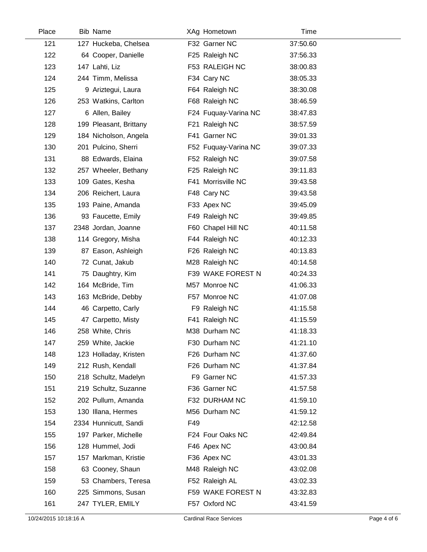| Place | <b>Bib Name</b>        |     | XAg Hometown         | Time     |  |
|-------|------------------------|-----|----------------------|----------|--|
| 121   | 127 Huckeba, Chelsea   |     | F32 Garner NC        | 37:50.60 |  |
| 122   | 64 Cooper, Danielle    |     | F25 Raleigh NC       | 37:56.33 |  |
| 123   | 147 Lahti, Liz         |     | F53 RALEIGH NC       | 38:00.83 |  |
| 124   | 244 Timm, Melissa      |     | F34 Cary NC          | 38:05.33 |  |
| 125   | 9 Ariztegui, Laura     |     | F64 Raleigh NC       | 38:30.08 |  |
| 126   | 253 Watkins, Carlton   |     | F68 Raleigh NC       | 38:46.59 |  |
| 127   | 6 Allen, Bailey        |     | F24 Fuquay-Varina NC | 38:47.83 |  |
| 128   | 199 Pleasant, Brittany |     | F21 Raleigh NC       | 38:57.59 |  |
| 129   | 184 Nicholson, Angela  |     | F41 Garner NC        | 39:01.33 |  |
| 130   | 201 Pulcino, Sherri    |     | F52 Fuquay-Varina NC | 39:07.33 |  |
| 131   | 88 Edwards, Elaina     |     | F52 Raleigh NC       | 39:07.58 |  |
| 132   | 257 Wheeler, Bethany   |     | F25 Raleigh NC       | 39:11.83 |  |
| 133   | 109 Gates, Kesha       |     | F41 Morrisville NC   | 39:43.58 |  |
| 134   | 206 Reichert, Laura    |     | F48 Cary NC          | 39:43.58 |  |
| 135   | 193 Paine, Amanda      |     | F33 Apex NC          | 39:45.09 |  |
| 136   | 93 Faucette, Emily     |     | F49 Raleigh NC       | 39:49.85 |  |
| 137   | 2348 Jordan, Joanne    |     | F60 Chapel Hill NC   | 40:11.58 |  |
| 138   | 114 Gregory, Misha     |     | F44 Raleigh NC       | 40:12.33 |  |
| 139   | 87 Eason, Ashleigh     |     | F26 Raleigh NC       | 40:13.83 |  |
| 140   | 72 Cunat, Jakub        |     | M28 Raleigh NC       | 40:14.58 |  |
| 141   | 75 Daughtry, Kim       |     | F39 WAKE FOREST N    | 40:24.33 |  |
| 142   | 164 McBride, Tim       |     | M57 Monroe NC        | 41:06.33 |  |
| 143   | 163 McBride, Debby     |     | F57 Monroe NC        | 41:07.08 |  |
| 144   | 46 Carpetto, Carly     |     | F9 Raleigh NC        | 41:15.58 |  |
| 145   | 47 Carpetto, Misty     |     | F41 Raleigh NC       | 41:15.59 |  |
| 146   | 258 White, Chris       |     | M38 Durham NC        | 41:18.33 |  |
| 147   | 259 White, Jackie      |     | F30 Durham NC        | 41:21.10 |  |
| 148   | 123 Holladay, Kristen  |     | F26 Durham NC        | 41:37.60 |  |
| 149   | 212 Rush, Kendall      |     | F26 Durham NC        | 41:37.84 |  |
| 150   | 218 Schultz, Madelyn   |     | F9 Garner NC         | 41:57.33 |  |
| 151   | 219 Schultz, Suzanne   |     | F36 Garner NC        | 41:57.58 |  |
| 152   | 202 Pullum, Amanda     |     | F32 DURHAM NC        | 41:59.10 |  |
| 153   | 130 Illana, Hermes     |     | M56 Durham NC        | 41:59.12 |  |
| 154   | 2334 Hunnicutt, Sandi  | F49 |                      | 42:12.58 |  |
| 155   | 197 Parker, Michelle   |     | F24 Four Oaks NC     | 42:49.84 |  |
| 156   | 128 Hummel, Jodi       |     | F46 Apex NC          | 43:00.84 |  |
| 157   | 157 Markman, Kristie   |     | F36 Apex NC          | 43:01.33 |  |
| 158   | 63 Cooney, Shaun       |     | M48 Raleigh NC       | 43:02.08 |  |
| 159   | 53 Chambers, Teresa    |     | F52 Raleigh AL       | 43:02.33 |  |
| 160   | 225 Simmons, Susan     |     | F59 WAKE FOREST N    | 43:32.83 |  |
| 161   | 247 TYLER, EMILY       |     | F57 Oxford NC        | 43:41.59 |  |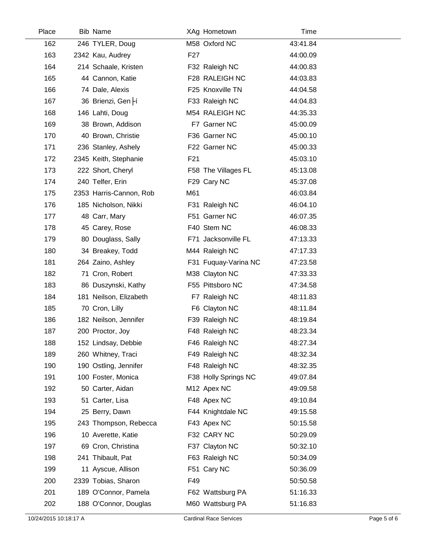| Place | <b>Bib Name</b>         |                 | XAg Hometown         | Time     |  |
|-------|-------------------------|-----------------|----------------------|----------|--|
| 162   | 246 TYLER, Doug         |                 | M58 Oxford NC        | 43:41.84 |  |
| 163   | 2342 Kau, Audrey        | F <sub>27</sub> |                      | 44:00.09 |  |
| 164   | 214 Schaale, Kristen    |                 | F32 Raleigh NC       | 44:00.83 |  |
| 165   | 44 Cannon, Katie        |                 | F28 RALEIGH NC       | 44:03.83 |  |
| 166   | 74 Dale, Alexis         |                 | F25 Knoxville TN     | 44:04.58 |  |
| 167   | 36 Brienzi, Gen Fí      |                 | F33 Raleigh NC       | 44:04.83 |  |
| 168   | 146 Lahti, Doug         |                 | M54 RALEIGH NC       | 44:35.33 |  |
| 169   | 38 Brown, Addison       |                 | F7 Garner NC         | 45:00.09 |  |
| 170   | 40 Brown, Christie      |                 | F36 Garner NC        | 45:00.10 |  |
| 171   | 236 Stanley, Ashely     |                 | F22 Garner NC        | 45:00.33 |  |
| 172   | 2345 Keith, Stephanie   | F <sub>21</sub> |                      | 45:03.10 |  |
| 173   | 222 Short, Cheryl       |                 | F58 The Villages FL  | 45:13.08 |  |
| 174   | 240 Telfer, Erin        |                 | F29 Cary NC          | 45:37.08 |  |
| 175   | 2353 Harris-Cannon, Rob | M61             |                      | 46:03.84 |  |
| 176   | 185 Nicholson, Nikki    |                 | F31 Raleigh NC       | 46:04.10 |  |
| 177   | 48 Carr, Mary           |                 | F51 Garner NC        | 46:07.35 |  |
| 178   | 45 Carey, Rose          |                 | F40 Stem NC          | 46:08.33 |  |
| 179   | 80 Douglass, Sally      |                 | F71 Jacksonville FL  | 47:13.33 |  |
| 180   | 34 Breakey, Todd        |                 | M44 Raleigh NC       | 47:17.33 |  |
| 181   | 264 Zaino, Ashley       |                 | F31 Fuquay-Varina NC | 47:23.58 |  |
| 182   | 71 Cron, Robert         |                 | M38 Clayton NC       | 47:33.33 |  |
| 183   | 86 Duszynski, Kathy     |                 | F55 Pittsboro NC     | 47:34.58 |  |
| 184   | 181 Neilson, Elizabeth  |                 | F7 Raleigh NC        | 48:11.83 |  |
| 185   | 70 Cron, Lilly          |                 | F6 Clayton NC        | 48:11.84 |  |
| 186   | 182 Neilson, Jennifer   |                 | F39 Raleigh NC       | 48:19.84 |  |
| 187   | 200 Proctor, Joy        |                 | F48 Raleigh NC       | 48:23.34 |  |
| 188   | 152 Lindsay, Debbie     |                 | F46 Raleigh NC       | 48:27.34 |  |
| 189   | 260 Whitney, Traci      |                 | F49 Raleigh NC       | 48:32.34 |  |
| 190   | 190 Ostling, Jennifer   |                 | F48 Raleigh NC       | 48:32.35 |  |
| 191   | 100 Foster, Monica      |                 | F38 Holly Springs NC | 49:07.84 |  |
| 192   | 50 Carter, Aidan        |                 | M12 Apex NC          | 49:09.58 |  |
| 193   | 51 Carter, Lisa         |                 | F48 Apex NC          | 49:10.84 |  |
| 194   | 25 Berry, Dawn          |                 | F44 Knightdale NC    | 49:15.58 |  |
| 195   | 243 Thompson, Rebecca   |                 | F43 Apex NC          | 50:15.58 |  |
| 196   | 10 Averette, Katie      |                 | F32 CARY NC          | 50:29.09 |  |
| 197   | 69 Cron, Christina      |                 | F37 Clayton NC       | 50:32.10 |  |
| 198   | 241 Thibault, Pat       |                 | F63 Raleigh NC       | 50:34.09 |  |
| 199   | 11 Ayscue, Allison      |                 | F51 Cary NC          | 50:36.09 |  |
| 200   | 2339 Tobias, Sharon     | F49             |                      | 50:50.58 |  |
| 201   | 189 O'Connor, Pamela    |                 | F62 Wattsburg PA     | 51:16.33 |  |
| 202   | 188 O'Connor, Douglas   |                 | M60 Wattsburg PA     | 51:16.83 |  |